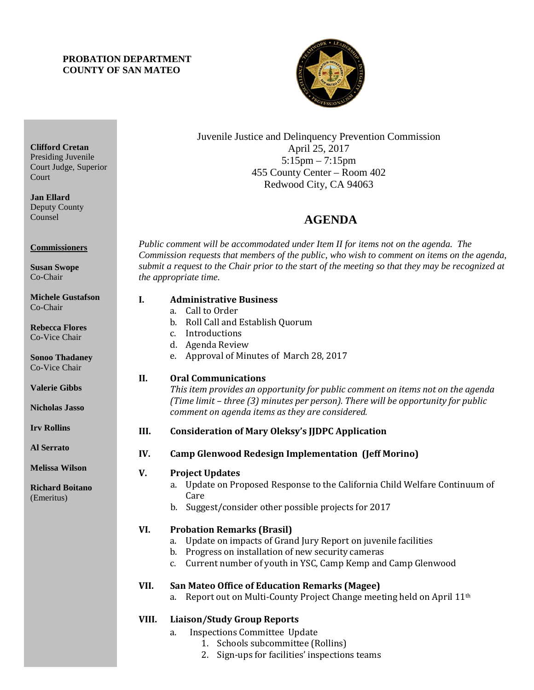## **PROBATION DEPARTMENT COUNTY OF SAN MATEO**



Juvenile Justice and Delinquency Prevention Commission April 25, 2017 5:15pm – 7:15pm 455 County Center – Room 402 Redwood City, CA 94063

## 4B**AGENDA**

*Public comment will be accommodated under Item II for items not on the agenda. The Commission requests that members of the public, who wish to comment on items on the agenda, submit a request to the Chair prior to the start of the meeting so that they may be recognized at the appropriate time.* 

| I.    | <b>Administrative Business</b><br>a. Call to Order<br>Roll Call and Establish Quorum<br>$\mathbf{b}$ .<br>Introductions<br>C <sub>1</sub><br>d. Agenda Review<br>Approval of Minutes of March 28, 2017<br>e.                                          |
|-------|-------------------------------------------------------------------------------------------------------------------------------------------------------------------------------------------------------------------------------------------------------|
| II.   | <b>Oral Communications</b><br>This item provides an opportunity for public comment on items not on the agenda<br>(Time limit - three (3) minutes per person). There will be opportunity for public<br>comment on agenda items as they are considered. |
| III.  | <b>Consideration of Mary Oleksy's JJDPC Application</b>                                                                                                                                                                                               |
| IV.   | <b>Camp Glenwood Redesign Implementation (Jeff Morino)</b>                                                                                                                                                                                            |
| V.    | <b>Project Updates</b><br>Update on Proposed Response to the California Child Welfare Continuum of<br>a.<br>Care<br>Suggest/consider other possible projects for 2017<br>b.                                                                           |
| VI.   | <b>Probation Remarks (Brasil)</b><br>Update on impacts of Grand Jury Report on juvenile facilities<br>a.<br>Progress on installation of new security cameras<br>b.<br>Current number of youth in YSC, Camp Kemp and Camp Glenwood<br>$C_{1}$          |
| VII.  | <b>San Mateo Office of Education Remarks (Magee)</b><br>Report out on Multi-County Project Change meeting held on April 11 <sup>th</sup><br>a.                                                                                                        |
| VIII. | <b>Liaison/Study Group Reports</b>                                                                                                                                                                                                                    |

- a. Inspections Committee Update
	- 1. Schools subcommittee (Rollins)
	- 2. Sign-ups for facilities' inspections teams

**Clifford Cretan** Presiding Juvenile Court Judge, Superior Court

**Jan Ellard** Deputy County Counsel

**Commissioners**

**Susan Swope** Co-Chair

**Michele Gustafson** Co-Chair

**Rebecca Flores** Co-Vice Chair

**Sonoo Thadaney** Co-Vice Chair

**Valerie Gibbs**

**Nicholas Jasso**

**Irv Rollins** 

**Al Serrato**

**Melissa Wilson**

**Richard Boitano** (Emeritus)